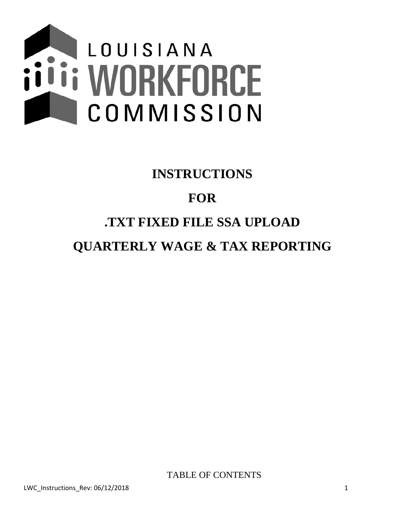

# **INSTRUCTIONS FOR .TXT FIXED FILE SSA UPLOAD QUARTERLY WAGE & TAX REPORTING**

TABLE OF CONTENTS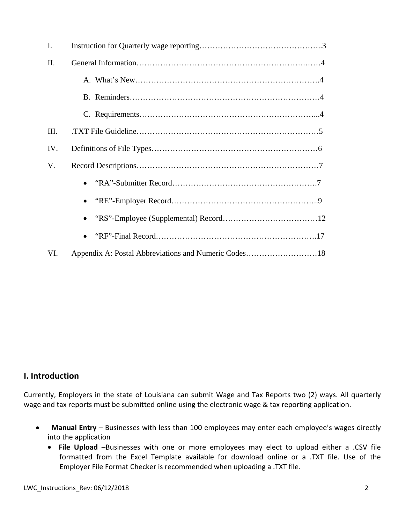| $\mathbf{I}$ . |                                                      |
|----------------|------------------------------------------------------|
| II.            |                                                      |
|                |                                                      |
|                |                                                      |
|                |                                                      |
| III.           |                                                      |
| IV.            |                                                      |
| V.             |                                                      |
|                |                                                      |
|                |                                                      |
|                |                                                      |
|                | $\bullet$                                            |
| VI.            | Appendix A: Postal Abbreviations and Numeric Codes18 |

### **I. Introduction**

Currently, Employers in the state of Louisiana can submit Wage and Tax Reports two (2) ways. All quarterly wage and tax reports must be submitted online using the electronic wage & tax reporting application.

- **Manual Entry** Businesses with less than 100 employees may enter each employee's wages directly into the application
	- **File Upload** –Businesses with one or more employees may elect to upload either a .CSV file formatted from the Excel Template available for download online or a .TXT file. Use of the Employer File Format Checker is recommended when uploading a .TXT file.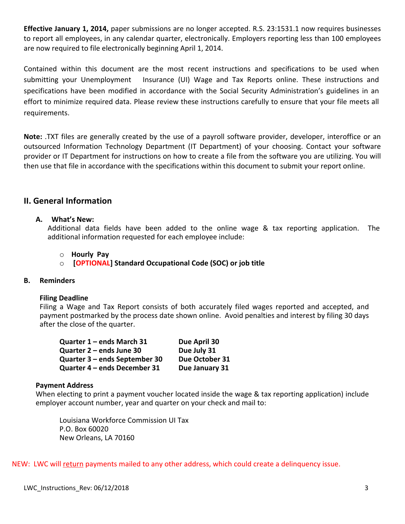**Effective January 1, 2014,** paper submissions are no longer accepted. R.S. 23:1531.1 now requires businesses to report all employees, in any calendar quarter, electronically. Employers reporting less than 100 employees are now required to file electronically beginning April 1, 2014.

Contained within this document are the most recent instructions and specifications to be used when submitting your Unemployment Insurance (UI) Wage and Tax Reports online. These instructions and specifications have been modified in accordance with the Social Security Administration's guidelines in an effort to minimize required data. Please review these instructions carefully to ensure that your file meets all requirements.

**Note:** .TXT files are generally created by the use of a payroll software provider, developer, interoffice or an outsourced Information Technology Department (IT Department) of your choosing. Contact your software provider or IT Department for instructions on how to create a file from the software you are utilizing. You will then use that file in accordance with the specifications within this document to submit your report online.

### **II. General Information**

### **A. What's New:**

Additional data fields have been added to the online wage & tax reporting application. The additional information requested for each employee include:

#### o **Hourly Pay**

o **[OPTIONAL] Standard Occupational Code (SOC) or job title**

### **B. Reminders**

#### **Filing Deadline**

Filing a Wage and Tax Report consists of both accurately filed wages reported and accepted, and payment postmarked by the process date shown online. Avoid penalties and interest by filing 30 days after the close of the quarter.

| Quarter 1 - ends March 31     | Due April 30   |
|-------------------------------|----------------|
| Quarter 2 – ends June 30      | Due July 31    |
| Quarter 3 - ends September 30 | Due October 31 |
| Quarter 4 - ends December 31  | Due January 31 |

#### **Payment Address**

When electing to print a payment voucher located inside the wage & tax reporting application) include employer account number, year and quarter on your check and mail to:

Louisiana Workforce Commission UI Tax P.O. Box 60020 New Orleans, LA 70160

NEW: LWC will return payments mailed to any other address, which could create a delinquency issue.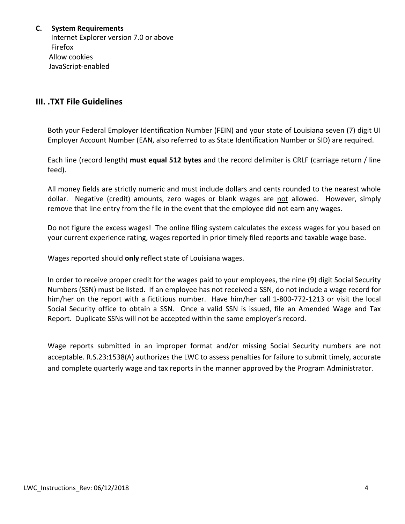### **C. System Requirements**

 Internet Explorer version 7.0 or above Firefox Allow cookies JavaScript‐enabled

### **III. .TXT File Guidelines**

Both your Federal Employer Identification Number (FEIN) and your state of Louisiana seven (7) digit UI Employer Account Number (EAN, also referred to as State Identification Number or SID) are required.

Each line (record length) **must equal 512 bytes** and the record delimiter is CRLF (carriage return / line feed).

All money fields are strictly numeric and must include dollars and cents rounded to the nearest whole dollar. Negative (credit) amounts, zero wages or blank wages are not allowed. However, simply remove that line entry from the file in the event that the employee did not earn any wages.

Do not figure the excess wages! The online filing system calculates the excess wages for you based on your current experience rating, wages reported in prior timely filed reports and taxable wage base.

Wages reported should **only** reflect state of Louisiana wages.

In order to receive proper credit for the wages paid to your employees, the nine (9) digit Social Security Numbers (SSN) must be listed. If an employee has not received a SSN, do not include a wage record for him/her on the report with a fictitious number. Have him/her call 1-800-772-1213 or visit the local Social Security office to obtain a SSN. Once a valid SSN is issued, file an Amended Wage and Tax Report. Duplicate SSNs will not be accepted within the same employer's record.

Wage reports submitted in an improper format and/or missing Social Security numbers are not acceptable. R.S.23:1538(A) authorizes the LWC to assess penalties for failure to submit timely, accurate and complete quarterly wage and tax reports in the manner approved by the Program Administrator.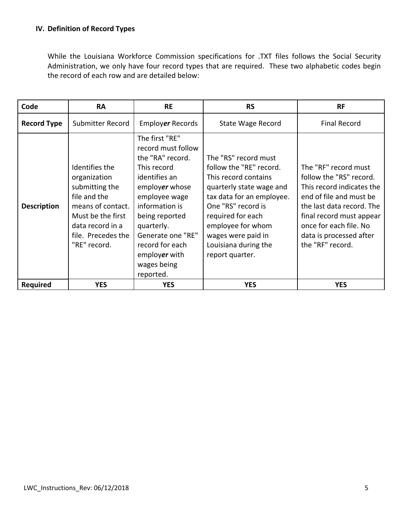While the Louisiana Workforce Commission specifications for .TXT files follows the Social Security Administration, we only have four record types that are required. These two alphabetic codes begin the record of each row and are detailed below:

| Code               | <b>RA</b>                                                                                                                                                            | <b>RE</b>                                                                                                                                                                                                                                                          | <b>RS</b>                                                                                                                                                                                                                                                         | <b>RF</b>                                                                                                                                                                                                                                 |
|--------------------|----------------------------------------------------------------------------------------------------------------------------------------------------------------------|--------------------------------------------------------------------------------------------------------------------------------------------------------------------------------------------------------------------------------------------------------------------|-------------------------------------------------------------------------------------------------------------------------------------------------------------------------------------------------------------------------------------------------------------------|-------------------------------------------------------------------------------------------------------------------------------------------------------------------------------------------------------------------------------------------|
| <b>Record Type</b> | Submitter Record                                                                                                                                                     | Employer Records                                                                                                                                                                                                                                                   | State Wage Record                                                                                                                                                                                                                                                 | <b>Final Record</b>                                                                                                                                                                                                                       |
| <b>Description</b> | Identifies the<br>organization<br>submitting the<br>file and the<br>means of contact.<br>Must be the first<br>data record in a<br>file. Precedes the<br>"RE" record. | The first "RE"<br>record must follow<br>the "RA" record.<br>This record<br>identifies an<br>employer whose<br>employee wage<br>information is<br>being reported<br>quarterly.<br>Generate one "RE"<br>record for each<br>employer with<br>wages being<br>reported. | The "RS" record must<br>follow the "RE" record.<br>This record contains<br>quarterly state wage and<br>tax data for an employee.<br>One "RS" record is<br>required for each<br>employee for whom<br>wages were paid in<br>Louisiana during the<br>report quarter. | The "RF" record must<br>follow the "RS" record.<br>This record indicates the<br>end of file and must be<br>the last data record. The<br>final record must appear<br>once for each file. No<br>data is processed after<br>the "RF" record. |
| <b>Required</b>    | <b>YES</b>                                                                                                                                                           | <b>YES</b>                                                                                                                                                                                                                                                         | <b>YES</b>                                                                                                                                                                                                                                                        | <b>YES</b>                                                                                                                                                                                                                                |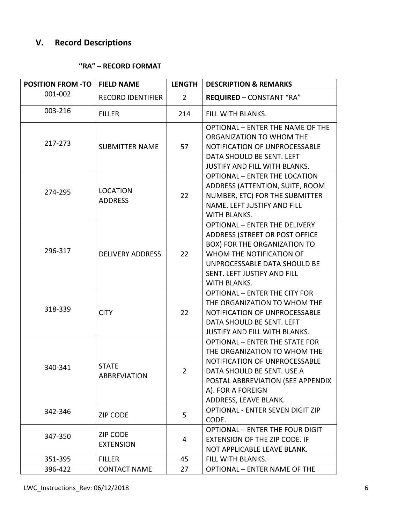# **V. Record Descriptions**

### **''RA" – RECORD FORMAT**

| <b>POSITION FROM -TO</b> | <b>FIELD NAME</b>                   | <b>LENGTH</b>  | <b>DESCRIPTION &amp; REMARKS</b>                                                                                                                                                                                         |
|--------------------------|-------------------------------------|----------------|--------------------------------------------------------------------------------------------------------------------------------------------------------------------------------------------------------------------------|
| 001-002                  | <b>RECORD IDENTIFIER</b>            | $\overline{2}$ | <b>REQUIRED - CONSTANT "RA"</b>                                                                                                                                                                                          |
| 003-216                  | <b>FILLER</b>                       | 214            | FILL WITH BLANKS.                                                                                                                                                                                                        |
| 217-273                  | <b>SUBMITTER NAME</b>               | 57             | <b>OPTIONAL - ENTER THE NAME OF THE</b><br>ORGANIZATION TO WHOM THE<br>NOTIFICATION OF UNPROCESSABLE<br>DATA SHOULD BE SENT. LEFT<br>JUSTIFY AND FILL WITH BLANKS.                                                       |
| 274-295                  | <b>LOCATION</b><br><b>ADDRESS</b>   | 22             | <b>OPTIONAL - ENTER THE LOCATION</b><br>ADDRESS (ATTENTION, SUITE, ROOM<br>NUMBER, ETC) FOR THE SUBMITTER<br>NAME. LEFT JUSTIFY AND FILL<br>WITH BLANKS.                                                                 |
| 296-317                  | <b>DELIVERY ADDRESS</b>             | 22             | <b>OPTIONAL - ENTER THE DELIVERY</b><br>ADDRESS (STREET OR POST OFFICE<br>BOX) FOR THE ORGANIZATION TO<br>WHOM THE NOTIFICATION OF<br>UNPROCESSABLE DATA SHOULD BE<br>SENT. LEFT JUSTIFY AND FILL<br><b>WITH BLANKS.</b> |
| 318-339                  | <b>CITY</b>                         | 22             | <b>OPTIONAL - ENTER THE CITY FOR</b><br>THE ORGANIZATION TO WHOM THE<br>NOTIFICATION OF UNPROCESSABLE<br>DATA SHOULD BE SENT. LEFT<br>JUSTIFY AND FILL WITH BLANKS.                                                      |
| 340-341                  | <b>STATE</b><br><b>ABBREVIATION</b> | $\overline{2}$ | <b>OPTIONAL - ENTER THE STATE FOR</b><br>THE ORGANIZATION TO WHOM THE<br>NOTIFICATION OF UNPROCESSABLE<br>DATA SHOULD BE SENT. USE A<br>POSTAL ABBREVIATION (SEE APPENDIX<br>A). FOR A FOREIGN<br>ADDRESS, LEAVE BLANK.  |
| 342-346                  | <b>ZIP CODE</b>                     | 5              | <b>OPTIONAL - ENTER SEVEN DIGIT ZIP</b><br>CODE.                                                                                                                                                                         |
| 347-350                  | <b>ZIP CODE</b><br><b>EXTENSION</b> | 4              | <b>OPTIONAL - ENTER THE FOUR DIGIT</b><br>EXTENSION OF THE ZIP CODE. IF<br>NOT APPLICABLE LEAVE BLANK.                                                                                                                   |
| 351-395                  | <b>FILLER</b>                       | 45             | FILL WITH BLANKS.                                                                                                                                                                                                        |
| 396-422                  | <b>CONTACT NAME</b>                 | 27             | <b>OPTIONAL - ENTER NAME OF THE</b>                                                                                                                                                                                      |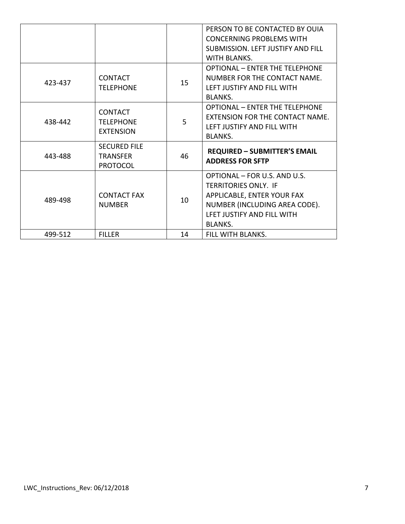|         |                                                           |    | PERSON TO BE CONTACTED BY OUIA<br><b>CONCERNING PROBLEMS WITH</b>                                                                                                          |
|---------|-----------------------------------------------------------|----|----------------------------------------------------------------------------------------------------------------------------------------------------------------------------|
|         |                                                           |    | <b>SUBMISSION. LEFT JUSTIFY AND FILL</b><br>WITH BLANKS.                                                                                                                   |
| 423-437 | <b>CONTACT</b><br><b>TELEPHONE</b>                        | 15 | <b>OPTIONAL - ENTER THE TELEPHONE</b><br>NUMBER FOR THE CONTACT NAME.<br>LEFT JUSTIFY AND FILL WITH<br><b>BLANKS.</b>                                                      |
| 438-442 | <b>CONTACT</b><br><b>TFLFPHONF</b><br><b>EXTENSION</b>    | 5  | OPTIONAL - FNTFR THE TELFPHONE<br><b>FXTENSION FOR THE CONTACT NAME.</b><br>LEFT JUSTIFY AND FILL WITH<br><b>BLANKS.</b>                                                   |
| 443-488 | <b>SECURED FILE</b><br><b>TRANSFFR</b><br><b>PROTOCOL</b> | 46 | <b>REQUIRED - SUBMITTER'S EMAIL</b><br><b>ADDRESS FOR SFTP</b>                                                                                                             |
| 489-498 | <b>CONTACT FAX</b><br><b>NUMBER</b>                       | 10 | OPTIONAL - FOR U.S. AND U.S.<br><b>TERRITORIES ONLY. IF</b><br>APPLICABLE, ENTER YOUR FAX<br>NUMBER (INCLUDING AREA CODE).<br>LFET JUSTIFY AND FILL WITH<br><b>BLANKS.</b> |
| 499-512 | <b>FILLER</b>                                             | 14 | FILL WITH BLANKS.                                                                                                                                                          |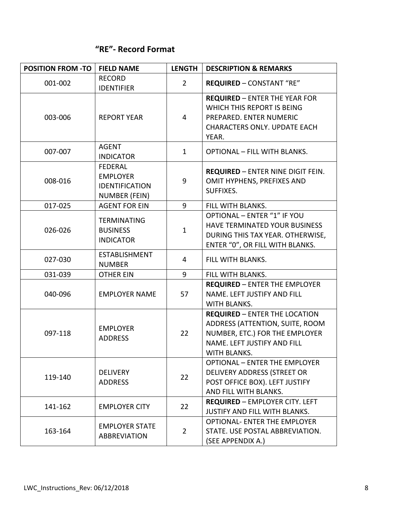### **"RE"‐ Record Format**

| <b>POSITION FROM -TO</b> | <b>FIELD NAME</b>                                                           | <b>LENGTH</b>  | <b>DESCRIPTION &amp; REMARKS</b>                                                                                                                         |
|--------------------------|-----------------------------------------------------------------------------|----------------|----------------------------------------------------------------------------------------------------------------------------------------------------------|
| 001-002                  | <b>RECORD</b><br><b>IDENTIFIER</b>                                          | $\overline{2}$ | <b>REQUIRED - CONSTANT "RE"</b>                                                                                                                          |
| 003-006                  | <b>REPORT YEAR</b>                                                          | 4              | <b>REQUIRED - ENTER THE YEAR FOR</b><br>WHICH THIS REPORT IS BEING<br>PREPARED. ENTER NUMERIC<br><b>CHARACTERS ONLY. UPDATE EACH</b><br>YEAR.            |
| 007-007                  | <b>AGENT</b><br><b>INDICATOR</b>                                            | $\mathbf{1}$   | <b>OPTIONAL - FILL WITH BLANKS.</b>                                                                                                                      |
| 008-016                  | <b>FEDERAL</b><br><b>EMPLOYER</b><br><b>IDENTIFICATION</b><br>NUMBER (FEIN) | 9              | <b>REQUIRED - ENTER NINE DIGIT FEIN.</b><br>OMIT HYPHENS, PREFIXES AND<br>SUFFIXES.                                                                      |
| 017-025                  | <b>AGENT FOR EIN</b>                                                        | 9              | FILL WITH BLANKS.                                                                                                                                        |
| 026-026                  | <b>TERMINATING</b><br><b>BUSINESS</b><br><b>INDICATOR</b>                   | $\mathbf{1}$   | <b>OPTIONAL - ENTER "1" IF YOU</b><br>HAVE TERMINATED YOUR BUSINESS<br>DURING THIS TAX YEAR. OTHERWISE,<br>ENTER "0", OR FILL WITH BLANKS.               |
| 027-030                  | <b>ESTABLISHMENT</b><br><b>NUMBER</b>                                       | 4              | FILL WITH BLANKS.                                                                                                                                        |
| 031-039                  | <b>OTHER EIN</b>                                                            | 9              | FILL WITH BLANKS.                                                                                                                                        |
| 040-096                  | <b>EMPLOYER NAME</b>                                                        | 57             | <b>REQUIRED - ENTER THE EMPLOYER</b><br>NAME. LEFT JUSTIFY AND FILL<br>WITH BLANKS.                                                                      |
| 097-118                  | <b>EMPLOYER</b><br><b>ADDRESS</b>                                           | 22             | <b>REQUIRED - ENTER THE LOCATION</b><br>ADDRESS (ATTENTION, SUITE, ROOM<br>NUMBER, ETC.) FOR THE EMPLOYER<br>NAME. LEFT JUSTIFY AND FILL<br>WITH BLANKS. |
| 119-140                  | <b>DELIVERY</b><br><b>ADDRESS</b>                                           | 22             | <b>OPTIONAL - ENTER THE EMPLOYER</b><br>DELIVERY ADDRESS (STREET OR<br>POST OFFICE BOX). LEFT JUSTIFY<br>AND FILL WITH BLANKS.                           |
| 141-162                  | <b>EMPLOYER CITY</b>                                                        | 22             | <b>REQUIRED - EMPLOYER CITY. LEFT</b><br>JUSTIFY AND FILL WITH BLANKS.                                                                                   |
| 163-164                  | <b>EMPLOYER STATE</b><br><b>ABBREVIATION</b>                                | $\overline{2}$ | OPTIONAL- ENTER THE EMPLOYER<br>STATE. USE POSTAL ABBREVIATION.<br>(SEE APPENDIX A.)                                                                     |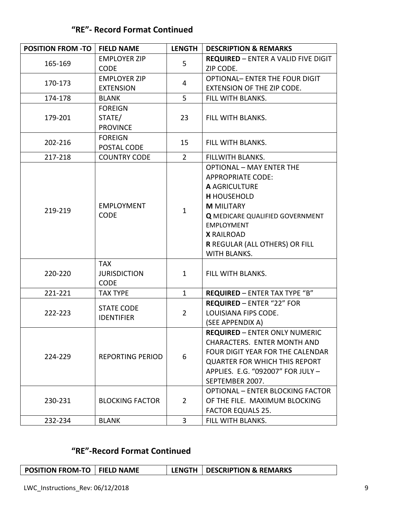### **"RE"‐ Record Format Continued**

| <b>POSITION FROM -TO</b> | <b>FIELD NAME</b>                | <b>LENGTH</b>  | <b>DESCRIPTION &amp; REMARKS</b>           |
|--------------------------|----------------------------------|----------------|--------------------------------------------|
| 165-169                  | <b>EMPLOYER ZIP</b>              | 5              | <b>REQUIRED - ENTER A VALID FIVE DIGIT</b> |
|                          | <b>CODE</b>                      |                | ZIP CODE.                                  |
| 170-173                  | <b>EMPLOYER ZIP</b>              |                | <b>OPTIONAL- ENTER THE FOUR DIGIT</b>      |
|                          | <b>EXTENSION</b>                 | 4              | EXTENSION OF THE ZIP CODE.                 |
| 174-178                  | <b>BLANK</b>                     | 5              | FILL WITH BLANKS.                          |
|                          | <b>FOREIGN</b>                   |                |                                            |
| 179-201                  | STATE/                           | 23             | FILL WITH BLANKS.                          |
|                          | <b>PROVINCE</b>                  |                |                                            |
| 202-216                  | <b>FOREIGN</b>                   | 15             | FILL WITH BLANKS.                          |
|                          | POSTAL CODE                      |                |                                            |
| 217-218                  | <b>COUNTRY CODE</b>              | $\overline{2}$ | <b>FILLWITH BLANKS.</b>                    |
|                          |                                  |                | <b>OPTIONAL - MAY ENTER THE</b>            |
|                          |                                  |                | <b>APPROPRIATE CODE:</b>                   |
|                          |                                  |                | <b>A AGRICULTURE</b>                       |
|                          |                                  |                | <b>H</b> HOUSEHOLD                         |
| 219-219                  | <b>EMPLOYMENT</b><br><b>CODE</b> | $\mathbf{1}$   | <b>M MILITARY</b>                          |
|                          |                                  |                | <b>Q MEDICARE QUALIFIED GOVERNMENT</b>     |
|                          |                                  |                | <b>EMPLOYMENT</b>                          |
|                          |                                  |                | <b>X RAILROAD</b>                          |
|                          |                                  |                | R REGULAR (ALL OTHERS) OR FILL             |
|                          |                                  |                | <b>WITH BLANKS.</b>                        |
|                          | <b>TAX</b>                       |                |                                            |
| 220-220                  | <b>JURISDICTION</b>              | $\mathbf{1}$   | FILL WITH BLANKS.                          |
|                          | <b>CODE</b>                      |                |                                            |
| 221-221                  | <b>TAX TYPE</b>                  | $\mathbf{1}$   | <b>REQUIRED - ENTER TAX TYPE "B"</b>       |
|                          | <b>STATE CODE</b>                | $\overline{2}$ | <b>REQUIRED - ENTER "22" FOR</b>           |
| 222-223                  | <b>IDENTIFIER</b>                |                | LOUISIANA FIPS CODE.                       |
|                          |                                  |                | (SEE APPENDIX A)                           |
|                          |                                  |                | <b>REQUIRED - ENTER ONLY NUMERIC</b>       |
|                          |                                  |                | <b>CHARACTERS. ENTER MONTH AND</b>         |
| 224-229                  | <b>REPORTING PERIOD</b>          | 6              | <b>FOUR DIGIT YEAR FOR THE CALENDAR</b>    |
|                          |                                  |                | <b>QUARTER FOR WHICH THIS REPORT</b>       |
|                          |                                  |                | APPLIES. E.G. "092007" FOR JULY -          |
|                          |                                  |                | SEPTEMBER 2007.                            |
|                          |                                  |                | <b>OPTIONAL - ENTER BLOCKING FACTOR</b>    |
| 230-231                  | <b>BLOCKING FACTOR</b>           | $\overline{2}$ | OF THE FILE. MAXIMUM BLOCKING              |
|                          |                                  |                | <b>FACTOR EQUALS 25.</b>                   |
| 232-234                  | <b>BLANK</b>                     | 3              | FILL WITH BLANKS.                          |

## **"RE"‐Record Format Continued**

| <b>POSITION FROM-TO   FIELD NAME</b> | <b>LENGTH   DESCRIPTION &amp; REMARKS</b> |  |
|--------------------------------------|-------------------------------------------|--|
|--------------------------------------|-------------------------------------------|--|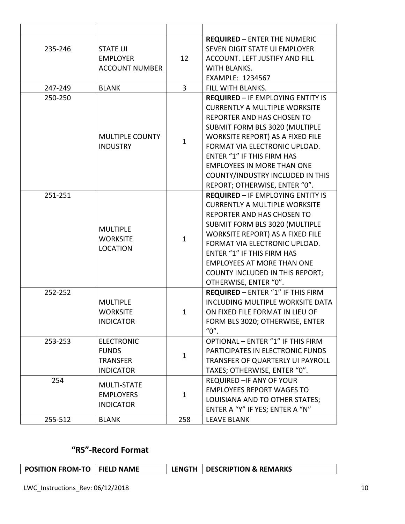| 235-246 | <b>STATE UI</b><br><b>EMPLOYER</b><br><b>ACCOUNT NUMBER</b>              | 12           | <b>REQUIRED - ENTER THE NUMERIC</b><br>SEVEN DIGIT STATE UI EMPLOYER<br><b>ACCOUNT. LEFT JUSTIFY AND FILL</b><br><b>WITH BLANKS.</b><br><b>EXAMPLE: 1234567</b>                                                                                                                                                                                                      |
|---------|--------------------------------------------------------------------------|--------------|----------------------------------------------------------------------------------------------------------------------------------------------------------------------------------------------------------------------------------------------------------------------------------------------------------------------------------------------------------------------|
| 247-249 | <b>BLANK</b>                                                             | 3            | FILL WITH BLANKS.                                                                                                                                                                                                                                                                                                                                                    |
| 250-250 | <b>MULTIPLE COUNTY</b><br><b>INDUSTRY</b>                                | $\mathbf{1}$ | <b>REQUIRED - IF EMPLOYING ENTITY IS</b><br><b>CURRENTLY A MULTIPLE WORKSITE</b><br>REPORTER AND HAS CHOSEN TO<br>SUBMIT FORM BLS 3020 (MULTIPLE<br>WORKSITE REPORT) AS A FIXED FILE<br>FORMAT VIA ELECTRONIC UPLOAD.<br><b>ENTER "1" IF THIS FIRM HAS</b><br><b>EMPLOYEES IN MORE THAN ONE</b><br>COUNTY/INDUSTRY INCLUDED IN THIS<br>REPORT; OTHERWISE, ENTER "0". |
| 251-251 | <b>MULTIPLE</b><br><b>WORKSITE</b><br><b>LOCATION</b>                    | $\mathbf{1}$ | <b>REQUIRED - IF EMPLOYING ENTITY IS</b><br><b>CURRENTLY A MULTIPLE WORKSITE</b><br>REPORTER AND HAS CHOSEN TO<br>SUBMIT FORM BLS 3020 (MULTIPLE<br>WORKSITE REPORT) AS A FIXED FILE<br>FORMAT VIA ELECTRONIC UPLOAD.<br>ENTER "1" IF THIS FIRM HAS<br><b>EMPLOYEES AT MORE THAN ONE</b><br>COUNTY INCLUDED IN THIS REPORT;<br>OTHERWISE, ENTER "0".                 |
| 252-252 | <b>MULTIPLE</b><br><b>WORKSITE</b><br><b>INDICATOR</b>                   | $\mathbf{1}$ | REQUIRED - ENTER "1" IF THIS FIRM<br>INCLUDING MULTIPLE WORKSITE DATA<br>ON FIXED FILE FORMAT IN LIEU OF<br>FORM BLS 3020; OTHERWISE, ENTER<br>"0".                                                                                                                                                                                                                  |
| 253-253 | <b>ELECTRONIC</b><br><b>FUNDS</b><br><b>TRANSFER</b><br><b>INDICATOR</b> | $\mathbf{1}$ | OPTIONAL - ENTER "1" IF THIS FIRM<br>PARTICIPATES IN ELECTRONIC FUNDS<br>TRANSFER OF QUARTERLY UI PAYROLL<br>TAXES; OTHERWISE, ENTER "0".                                                                                                                                                                                                                            |
| 254     | MULTI-STATE<br><b>EMPLOYERS</b><br><b>INDICATOR</b>                      | $\mathbf{1}$ | REQUIRED - IF ANY OF YOUR<br><b>EMPLOYEES REPORT WAGES TO</b><br>LOUISIANA AND TO OTHER STATES;<br>ENTER A "Y" IF YES; ENTER A "N"                                                                                                                                                                                                                                   |
| 255-512 | <b>BLANK</b>                                                             | 258          | <b>LEAVE BLANK</b>                                                                                                                                                                                                                                                                                                                                                   |

# **"RS"‐Record Format**

| POSITION FROM-TO   FIELD NAME |  | LENGTH   DESCRIPTION & REMARKS |
|-------------------------------|--|--------------------------------|
|                               |  |                                |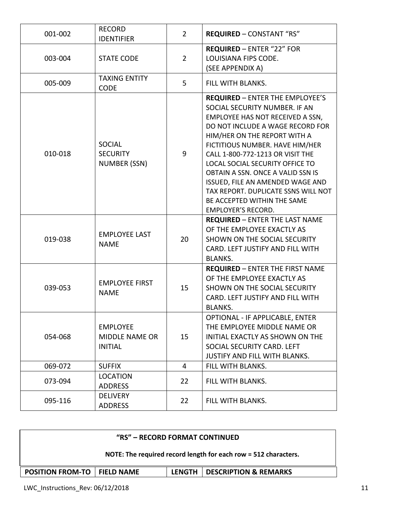| 001-002 | <b>RECORD</b><br><b>IDENTIFIER</b>                         | $\overline{2}$ | <b>REQUIRED - CONSTANT "RS"</b>                                                                                                                                                                                                                                                                                                                                                                                                                                       |
|---------|------------------------------------------------------------|----------------|-----------------------------------------------------------------------------------------------------------------------------------------------------------------------------------------------------------------------------------------------------------------------------------------------------------------------------------------------------------------------------------------------------------------------------------------------------------------------|
| 003-004 | <b>STATE CODE</b>                                          | $\overline{2}$ | <b>REQUIRED - ENTER "22" FOR</b><br>LOUISIANA FIPS CODE.<br>(SEE APPENDIX A)                                                                                                                                                                                                                                                                                                                                                                                          |
| 005-009 | <b>TAXING ENTITY</b><br><b>CODE</b>                        | 5              | FILL WITH BLANKS.                                                                                                                                                                                                                                                                                                                                                                                                                                                     |
| 010-018 | <b>SOCIAL</b><br><b>SECURITY</b><br>NUMBER (SSN)           | 9              | <b>REQUIRED - ENTER THE EMPLOYEE'S</b><br>SOCIAL SECURITY NUMBER. IF AN<br>EMPLOYEE HAS NOT RECEIVED A SSN,<br>DO NOT INCLUDE A WAGE RECORD FOR<br>HIM/HER ON THE REPORT WITH A<br>FICTITIOUS NUMBER. HAVE HIM/HER<br>CALL 1-800-772-1213 OR VISIT THE<br>LOCAL SOCIAL SECURITY OFFICE TO<br>OBTAIN A SSN. ONCE A VALID SSN IS<br>ISSUED, FILE AN AMENDED WAGE AND<br>TAX REPORT. DUPLICATE SSNS WILL NOT<br>BE ACCEPTED WITHIN THE SAME<br><b>EMPLOYER'S RECORD.</b> |
| 019-038 | <b>EMPLOYEE LAST</b><br><b>NAME</b>                        | 20             | <b>REQUIRED - ENTER THE LAST NAME</b><br>OF THE EMPLOYEE EXACTLY AS<br>SHOWN ON THE SOCIAL SECURITY<br>CARD. LEFT JUSTIFY AND FILL WITH<br><b>BLANKS.</b>                                                                                                                                                                                                                                                                                                             |
| 039-053 | <b>EMPLOYEE FIRST</b><br><b>NAME</b>                       | 15             | <b>REQUIRED - ENTER THE FIRST NAME</b><br>OF THE EMPLOYEE EXACTLY AS<br>SHOWN ON THE SOCIAL SECURITY<br>CARD. LEFT JUSTIFY AND FILL WITH<br><b>BLANKS.</b>                                                                                                                                                                                                                                                                                                            |
| 054-068 | <b>EMPLOYEE</b><br><b>MIDDLE NAME OR</b><br><b>INITIAL</b> | 15             | OPTIONAL - IF APPLICABLE, ENTER<br>THE EMPLOYEE MIDDLE NAME OR<br>INITIAL EXACTLY AS SHOWN ON THE<br>SOCIAL SECURITY CARD. LEFT<br>JUSTIFY AND FILL WITH BLANKS.                                                                                                                                                                                                                                                                                                      |
| 069-072 | <b>SUFFIX</b>                                              | 4              | FILL WITH BLANKS.                                                                                                                                                                                                                                                                                                                                                                                                                                                     |
| 073-094 | <b>LOCATION</b><br><b>ADDRESS</b>                          | 22             | FILL WITH BLANKS.                                                                                                                                                                                                                                                                                                                                                                                                                                                     |
| 095-116 | <b>DELIVERY</b><br><b>ADDRESS</b>                          | 22             | FILL WITH BLANKS.                                                                                                                                                                                                                                                                                                                                                                                                                                                     |

| "RS" – RECORD FORMAT CONTINUED                                                     |  |  |  |  |  |
|------------------------------------------------------------------------------------|--|--|--|--|--|
| NOTE: The required record length for each row = 512 characters.                    |  |  |  |  |  |
| <b>DESCRIPTION &amp; REMARKS</b><br><b>POSITION FROM-TO   FIELD NAME</b><br>LENGTH |  |  |  |  |  |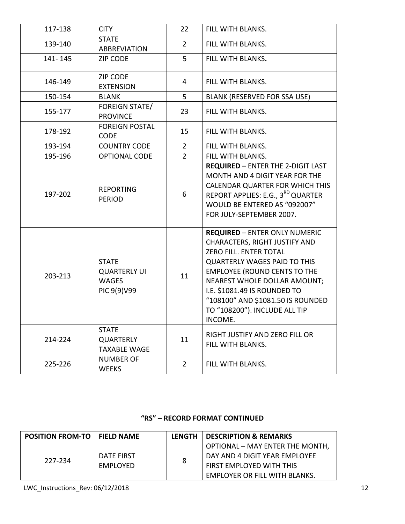| <b>CITY</b>                                                        | 22             |                                                                                                                                                                                                                                                                                                                                       |
|--------------------------------------------------------------------|----------------|---------------------------------------------------------------------------------------------------------------------------------------------------------------------------------------------------------------------------------------------------------------------------------------------------------------------------------------|
|                                                                    |                | FILL WITH BLANKS.                                                                                                                                                                                                                                                                                                                     |
| <b>STATE</b><br><b>ABBREVIATION</b>                                | $\overline{2}$ | FILL WITH BLANKS.                                                                                                                                                                                                                                                                                                                     |
| <b>ZIP CODE</b>                                                    | 5              | FILL WITH BLANKS.                                                                                                                                                                                                                                                                                                                     |
| ZIP CODE<br><b>EXTENSION</b>                                       | 4              | FILL WITH BLANKS.                                                                                                                                                                                                                                                                                                                     |
| <b>BLANK</b>                                                       | 5              | BLANK (RESERVED FOR SSA USE)                                                                                                                                                                                                                                                                                                          |
| FOREIGN STATE/<br><b>PROVINCE</b>                                  | 23             | FILL WITH BLANKS.                                                                                                                                                                                                                                                                                                                     |
| <b>FOREIGN POSTAL</b><br><b>CODE</b>                               | 15             | FILL WITH BLANKS.                                                                                                                                                                                                                                                                                                                     |
| <b>COUNTRY CODE</b>                                                | $\overline{2}$ | FILL WITH BLANKS.                                                                                                                                                                                                                                                                                                                     |
| <b>OPTIONAL CODE</b>                                               | $\overline{2}$ | FILL WITH BLANKS.                                                                                                                                                                                                                                                                                                                     |
| <b>REPORTING</b><br><b>PERIOD</b>                                  | 6              | <b>REQUIRED - ENTER THE 2-DIGIT LAST</b><br>MONTH AND 4 DIGIT YEAR FOR THE<br>CALENDAR QUARTER FOR WHICH THIS<br>REPORT APPLIES: E.G., 3 <sup>RD</sup> QUARTER<br>WOULD BE ENTERED AS "092007"<br>FOR JULY-SEPTEMBER 2007.                                                                                                            |
| <b>STATE</b><br><b>QUARTERLY UI</b><br><b>WAGES</b><br>PIC 9(9)V99 | 11             | <b>REQUIRED - ENTER ONLY NUMERIC</b><br>CHARACTERS, RIGHT JUSTIFY AND<br>ZERO FILL. ENTER TOTAL<br><b>QUARTERLY WAGES PAID TO THIS</b><br><b>EMPLOYEE (ROUND CENTS TO THE</b><br><b>NEAREST WHOLE DOLLAR AMOUNT;</b><br>I.E. \$1081.49 IS ROUNDED TO<br>"108100" AND \$1081.50 IS ROUNDED<br>TO "108200"). INCLUDE ALL TIP<br>INCOME. |
| <b>STATE</b><br><b>QUARTERLY</b><br><b>TAXABLE WAGE</b>            | 11             | RIGHT JUSTIFY AND ZERO FILL OR<br>FILL WITH BLANKS.                                                                                                                                                                                                                                                                                   |
| <b>NUMBER OF</b><br><b>WEEKS</b>                                   | $\overline{2}$ | FILL WITH BLANKS.                                                                                                                                                                                                                                                                                                                     |
|                                                                    |                |                                                                                                                                                                                                                                                                                                                                       |

### **"RS" – RECORD FORMAT CONTINUED**

| <b>POSITION FROM-TO</b> | <b>FIELD NAME</b> | LENGTH | DESCRIPTION & REMARKS           |
|-------------------------|-------------------|--------|---------------------------------|
| 227-234                 |                   | 8      | OPTIONAL - MAY ENTER THE MONTH, |
|                         | DATE FIRST        |        | DAY AND 4 DIGIT YEAR EMPLOYEE   |
|                         | EMPLOYED          |        | FIRST EMPLOYED WITH THIS        |
|                         |                   |        | EMPLOYER OR FILL WITH BLANKS.   |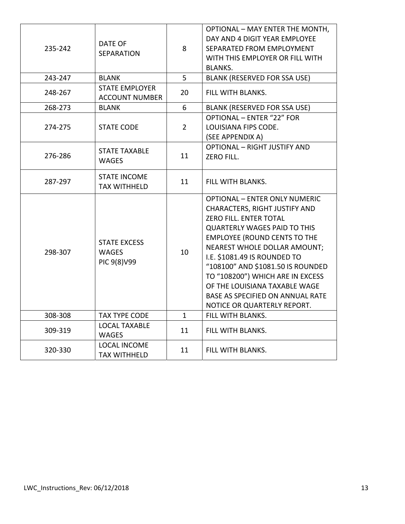| 235-242 | DATE OF<br><b>SEPARATION</b>                       | 8              | <b>OPTIONAL - MAY ENTER THE MONTH,</b><br>DAY AND 4 DIGIT YEAR EMPLOYEE<br>SEPARATED FROM EMPLOYMENT<br>WITH THIS EMPLOYER OR FILL WITH<br><b>BLANKS.</b>                                                                                                                                                                                                                                                                  |
|---------|----------------------------------------------------|----------------|----------------------------------------------------------------------------------------------------------------------------------------------------------------------------------------------------------------------------------------------------------------------------------------------------------------------------------------------------------------------------------------------------------------------------|
| 243-247 | <b>BLANK</b>                                       | 5              | <b>BLANK (RESERVED FOR SSA USE)</b>                                                                                                                                                                                                                                                                                                                                                                                        |
| 248-267 | <b>STATE EMPLOYER</b><br><b>ACCOUNT NUMBER</b>     | 20             | FILL WITH BLANKS.                                                                                                                                                                                                                                                                                                                                                                                                          |
| 268-273 | <b>BLANK</b>                                       | 6              | <b>BLANK (RESERVED FOR SSA USE)</b>                                                                                                                                                                                                                                                                                                                                                                                        |
| 274-275 | <b>STATE CODE</b>                                  | $\overline{2}$ | <b>OPTIONAL - ENTER "22" FOR</b><br>LOUISIANA FIPS CODE.<br>(SEE APPENDIX A)                                                                                                                                                                                                                                                                                                                                               |
| 276-286 | <b>STATE TAXABLE</b><br><b>WAGES</b>               | 11             | <b>OPTIONAL - RIGHT JUSTIFY AND</b><br><b>ZERO FILL.</b>                                                                                                                                                                                                                                                                                                                                                                   |
| 287-297 | <b>STATE INCOME</b><br><b>TAX WITHHELD</b>         | 11             | FILL WITH BLANKS.                                                                                                                                                                                                                                                                                                                                                                                                          |
| 298-307 | <b>STATE EXCESS</b><br><b>WAGES</b><br>PIC 9(8)V99 | 10             | <b>OPTIONAL - ENTER ONLY NUMERIC</b><br>CHARACTERS, RIGHT JUSTIFY AND<br>ZERO FILL. ENTER TOTAL<br><b>QUARTERLY WAGES PAID TO THIS</b><br><b>EMPLOYEE (ROUND CENTS TO THE</b><br>NEAREST WHOLE DOLLAR AMOUNT;<br>I.E. \$1081.49 IS ROUNDED TO<br>"108100" AND \$1081.50 IS ROUNDED<br>TO "108200") WHICH ARE IN EXCESS<br>OF THE LOUISIANA TAXABLE WAGE<br>BASE AS SPECIFIED ON ANNUAL RATE<br>NOTICE OR QUARTERLY REPORT. |
| 308-308 | <b>TAX TYPE CODE</b>                               | 1              | FILL WITH BLANKS.                                                                                                                                                                                                                                                                                                                                                                                                          |
| 309-319 | <b>LOCAL TAXABLE</b><br><b>WAGES</b>               | 11             | FILL WITH BLANKS.                                                                                                                                                                                                                                                                                                                                                                                                          |
| 320-330 | <b>LOCAL INCOME</b><br><b>TAX WITHHELD</b>         | 11             | FILL WITH BLANKS.                                                                                                                                                                                                                                                                                                                                                                                                          |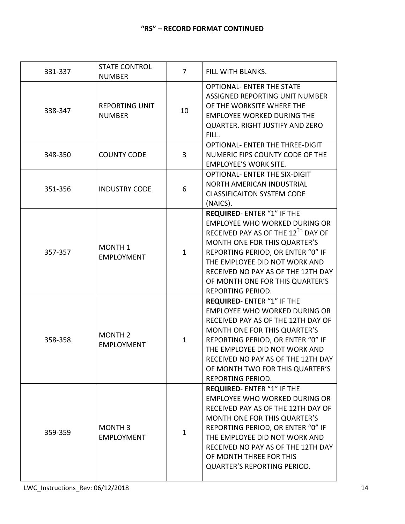| 331-337 | <b>STATE CONTROL</b><br><b>NUMBER</b>   | 7            | FILL WITH BLANKS.                                                                                                                                                                                                                                                                                                     |
|---------|-----------------------------------------|--------------|-----------------------------------------------------------------------------------------------------------------------------------------------------------------------------------------------------------------------------------------------------------------------------------------------------------------------|
| 338-347 | <b>REPORTING UNIT</b><br><b>NUMBER</b>  | 10           | <b>OPTIONAL- ENTER THE STATE</b><br>ASSIGNED REPORTING UNIT NUMBER<br>OF THE WORKSITE WHERE THE<br><b>EMPLOYEE WORKED DURING THE</b><br>QUARTER. RIGHT JUSTIFY AND ZERO<br>FILL.                                                                                                                                      |
| 348-350 | <b>COUNTY CODE</b>                      | 3            | OPTIONAL- ENTER THE THREE-DIGIT<br>NUMERIC FIPS COUNTY CODE OF THE<br><b>EMPLOYEE'S WORK SITE.</b>                                                                                                                                                                                                                    |
| 351-356 | <b>INDUSTRY CODE</b>                    | 6            | OPTIONAL- ENTER THE SIX-DIGIT<br><b>NORTH AMERICAN INDUSTRIAL</b><br><b>CLASSIFICAITON SYSTEM CODE</b><br>(NAICS).                                                                                                                                                                                                    |
| 357-357 | MONTH <sub>1</sub><br><b>EMPLOYMENT</b> | $\mathbf{1}$ | REQUIRED- ENTER "1" IF THE<br>EMPLOYEE WHO WORKED DURING OR<br>RECEIVED PAY AS OF THE 12TH DAY OF<br>MONTH ONE FOR THIS QUARTER'S<br>REPORTING PERIOD, OR ENTER "0" IF<br>THE EMPLOYEE DID NOT WORK AND<br>RECEIVED NO PAY AS OF THE 12TH DAY<br>OF MONTH ONE FOR THIS QUARTER'S<br>REPORTING PERIOD.                 |
| 358-358 | <b>MONTH 2</b><br><b>EMPLOYMENT</b>     | $\mathbf{1}$ | REQUIRED-ENTER "1" IF THE<br><b>EMPLOYEE WHO WORKED DURING OR</b><br>RECEIVED PAY AS OF THE 12TH DAY OF<br>MONTH ONE FOR THIS QUARTER'S<br>REPORTING PERIOD, OR ENTER "0" IF<br>THE EMPLOYEE DID NOT WORK AND<br>RECEIVED NO PAY AS OF THE 12TH DAY<br>OF MONTH TWO FOR THIS QUARTER'S<br>REPORTING PERIOD.           |
| 359-359 | MONTH <sub>3</sub><br><b>EMPLOYMENT</b> | 1            | REQUIRED- ENTER "1" IF THE<br><b>EMPLOYEE WHO WORKED DURING OR</b><br>RECEIVED PAY AS OF THE 12TH DAY OF<br>MONTH ONE FOR THIS QUARTER'S<br>REPORTING PERIOD, OR ENTER "0" IF<br>THE EMPLOYEE DID NOT WORK AND<br>RECEIVED NO PAY AS OF THE 12TH DAY<br>OF MONTH THREE FOR THIS<br><b>QUARTER'S REPORTING PERIOD.</b> |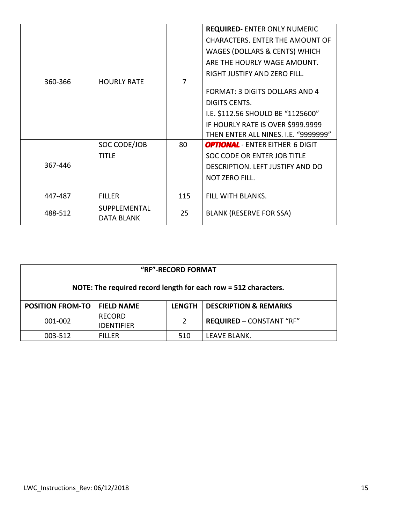|         |                                   |                                   | <b>REQUIRED-ENTER ONLY NUMERIC</b>       |
|---------|-----------------------------------|-----------------------------------|------------------------------------------|
|         |                                   |                                   | <b>CHARACTERS. ENTER THE AMOUNT OF</b>   |
|         |                                   |                                   | <b>WAGES (DOLLARS &amp; CENTS) WHICH</b> |
|         |                                   |                                   | ARE THE HOURLY WAGE AMOUNT.              |
|         |                                   |                                   | RIGHT JUSTIFY AND ZERO FILL.             |
| 360-366 | <b>HOURLY RATE</b>                | 7                                 |                                          |
|         |                                   |                                   | <b>FORMAT: 3 DIGITS DOLLARS AND 4</b>    |
|         |                                   |                                   | <b>DIGITS CENTS.</b>                     |
|         |                                   |                                   | I.E. \$112.56 SHOULD BE "1125600"        |
|         |                                   | IF HOURLY RATE IS OVER \$999.9999 |                                          |
|         |                                   |                                   | THEN ENTER ALL NINES. I.E. "9999999"     |
|         | SOC CODE/JOB                      | 80                                | <b>OPTIONAL</b> - ENTER EITHER 6 DIGIT   |
|         | <b>TITLE</b>                      |                                   | SOC CODE OR ENTER JOB TITLE              |
| 367-446 |                                   |                                   | DESCRIPTION. LEFT JUSTIFY AND DO         |
|         |                                   |                                   | <b>NOT ZERO FILL.</b>                    |
|         |                                   |                                   |                                          |
| 447-487 | <b>FILLER</b>                     | 115                               | FILL WITH BLANKS.                        |
| 488-512 | SUPPLEMENTAL<br><b>DATA BLANK</b> | 25                                | <b>BLANK (RESERVE FOR SSA)</b>           |

| "RF"-RECORD FORMAT                                              |                                    |               |                                  |
|-----------------------------------------------------------------|------------------------------------|---------------|----------------------------------|
| NOTE: The required record length for each row = 512 characters. |                                    |               |                                  |
| <b>POSITION FROM-TO</b>                                         | <b>FIELD NAME</b>                  | <b>LENGTH</b> | <b>DESCRIPTION &amp; REMARKS</b> |
| 001-002                                                         | <b>RECORD</b><br><b>IDENTIFIER</b> | 2             | <b>REQUIRED - CONSTANT "RF"</b>  |
| 003-512                                                         | <b>FILLER</b>                      | 510           | LEAVE BLANK.                     |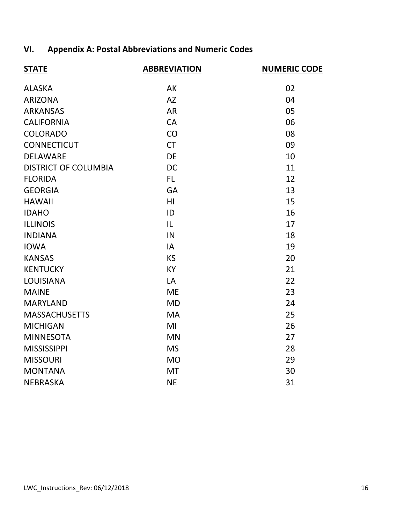# **VI. Appendix A: Postal Abbreviations and Numeric Codes**

| <b>STATE</b>                | <b>ABBREVIATION</b> | <b>NUMERIC CODE</b> |
|-----------------------------|---------------------|---------------------|
| <b>ALASKA</b>               | AK                  | 02                  |
| <b>ARIZONA</b>              | <b>AZ</b>           | 04                  |
| <b>ARKANSAS</b>             | <b>AR</b>           | 05                  |
| <b>CALIFORNIA</b>           | <b>CA</b>           | 06                  |
| <b>COLORADO</b>             | CO                  | 08                  |
| <b>CONNECTICUT</b>          | <b>CT</b>           | 09                  |
| <b>DELAWARE</b>             | <b>DE</b>           | 10                  |
| <b>DISTRICT OF COLUMBIA</b> | <b>DC</b>           | 11                  |
| <b>FLORIDA</b>              | FL.                 | 12                  |
| <b>GEORGIA</b>              | <b>GA</b>           | 13                  |
| <b>HAWAII</b>               | H <sub>l</sub>      | 15                  |
| <b>IDAHO</b>                | ID                  | 16                  |
| <b>ILLINOIS</b>             | IL                  | 17                  |
| <b>INDIANA</b>              | IN                  | 18                  |
| <b>IOWA</b>                 | IA                  | 19                  |
| <b>KANSAS</b>               | <b>KS</b>           | 20                  |
| <b>KENTUCKY</b>             | <b>KY</b>           | 21                  |
| <b>LOUISIANA</b>            | LA                  | 22                  |
| <b>MAINE</b>                | <b>ME</b>           | 23                  |
| <b>MARYLAND</b>             | <b>MD</b>           | 24                  |
| <b>MASSACHUSETTS</b>        | <b>MA</b>           | 25                  |
| <b>MICHIGAN</b>             | MI                  | 26                  |
| <b>MINNESOTA</b>            | <b>MN</b>           | 27                  |
| <b>MISSISSIPPI</b>          | <b>MS</b>           | 28                  |
| <b>MISSOURI</b>             | <b>MO</b>           | 29                  |
| <b>MONTANA</b>              | <b>MT</b>           | 30                  |
| <b>NEBRASKA</b>             | <b>NE</b>           | 31                  |